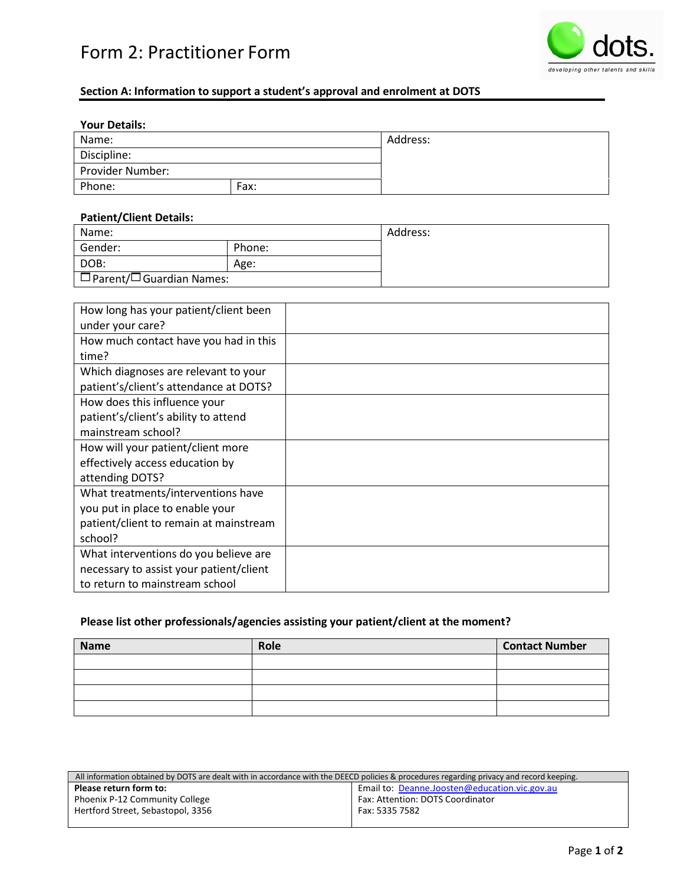# Form 2: Practitioner Form



# **Section A: Information to support a student's approval and enrolment at DOTS**

## **Your Details:**

| Name:            |      | Address: |
|------------------|------|----------|
| Discipline:      |      |          |
| Provider Number: |      |          |
| Phone:           | Fax: |          |

#### **Patient/Client Details:**

| Name:                                           |        | Address: |
|-------------------------------------------------|--------|----------|
| Gender:                                         | Phone: |          |
| DOB:                                            | Age:   |          |
| $\sqrt{\square}$ Parent/ $\Box$ Guardian Names: |        |          |

| How long has your patient/client been   |  |
|-----------------------------------------|--|
| under your care?                        |  |
| How much contact have you had in this   |  |
| time?                                   |  |
| Which diagnoses are relevant to your    |  |
| patient's/client's attendance at DOTS?  |  |
| How does this influence your            |  |
| patient's/client's ability to attend    |  |
| mainstream school?                      |  |
| How will your patient/client more       |  |
| effectively access education by         |  |
| attending DOTS?                         |  |
| What treatments/interventions have      |  |
| you put in place to enable your         |  |
| patient/client to remain at mainstream  |  |
| school?                                 |  |
| What interventions do you believe are   |  |
| necessary to assist your patient/client |  |
| to return to mainstream school          |  |

# **Please list other professionals/agencies assisting your patient/client at the moment?**

| <b>Name</b> | Role | <b>Contact Number</b> |
|-------------|------|-----------------------|
|             |      |                       |
|             |      |                       |
|             |      |                       |
|             |      |                       |

| All information obtained by DOTS are dealt with in accordance with the DEECD policies & procedures regarding privacy and record keeping. |                                               |  |
|------------------------------------------------------------------------------------------------------------------------------------------|-----------------------------------------------|--|
| Please return form to:                                                                                                                   | Email to: Deanne.Joosten@education.vic.gov.au |  |
| Phoenix P-12 Community College                                                                                                           | Fax: Attention: DOTS Coordinator              |  |
| Hertford Street, Sebastopol, 3356                                                                                                        | Fax: 5335 7582                                |  |
|                                                                                                                                          |                                               |  |